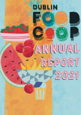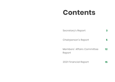# **Contents**

| Secretary's Report                   |    |
|--------------------------------------|----|
| Chairperson's Report                 |    |
| Members' Affairs Committee<br>Report | 12 |
| 2021 Financial Report                |    |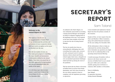

## **Welcome to the Annual Report for 2021.**

This report is a way for you, as an engaged member of Dublin Food Co-op, to understand the activities and performance of your co-operative during 2021 and receive an update on the course we travelled over the year.

Over the last number of years, we have made great progress in expanding the scope, breadth and presentation of information outlined in the Annual Report. I have been very proud that we have been approached by both members and external stakeholders about the quality of the report.

It is with deep regret that we must prepare a pared back version of the Annual Report for the year ending 31st December 2021.

**3**

# **SE C R ETARY ' S RE PORT**

# Sam Toland

As outlined in the Chair's Report, we were ultimately unsuccessful in recruiting a lasting General Manager and alongside our Shop Co-ordinator stepping down at the beginning of the year, I was required as the most senior member of the team to step into the role of Acting General Manager.

The last six months have been an extraordinarily challenging time with everything from weaker sales, turnover of staff, continued Covid-19 related absences, Brexit-related and Ukrainerelated supply chain issues, alongside our own accumulated operational challenges which had built up during the worst of the pandemic.

This has meant that my duties as Secretary of Dublin Food Co-op have been firmly diminished, and I have been focused on the core duties required to keep us compliant with the legislation governing co-operatives.

A more detailed and explanatory Annual Report has been the primary casualty of this situation.

Despite all this, we have reports from the Chair and Members' Affairs Committee, along with audited financial statements for the year ending 31st December 2021.

All the information is there to help you understand the activities during 2021, and to formulate any questions you might have for the Co-ordinating Body at the upcoming Annual General Meeting.

I would encourage all members with an interest in the future success and recovery of Dublin Food Co-op to attend this year's AGM, and to otherwise consider getting more involved as a volunteer, MAC member or CB member.

**Yours in Solidarity, Sam Toland Co-operative Secretary Acting General Manager**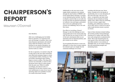# **CHAIRPERSON'S REPORT**

# Maureen O'Donnell

#### Dear Members,

2021 was a challenging year for Dublin Food Co-operative. As I reported in the year end message to members, there were many financial, operational, and societal issues which all seemed to come to the forefront in one massive disruption, not just for our co-operative but for Ireland and the world as a whole.

For the co-operative, we noticed a drop off in sales early in the year when restrictions were lifted and consumers began to return to pre-pandemic habits of dining out. This was further exacerbated when workers began to return to offices. The drop off in revenue was noticeable, as much as 20 to 30 percent lower sales in a given month from the prior year. While we staffed accordingly, and reduced orders to compensate for the lower turnover, there were inefficiencies in some of our ways of operating which were painfully revealed as a result of the lower revenue.

Additionally, as the year went on and supply chains continued to be strained through the dual burdens of BREXIT and Covid related labour shortages, we began to see wholesale prices increase. We tried to absorb as much of this as we could, but as you'll see from our financial statements, we suffered a loss and began, particularly later in the year (although by then revenue was stabilising a bit) to see cash flow issues.

Our efforts at recruiting a General Manager to take this challenge on were unsuccessful and we lost several other key staff. We also lost our tenant in Unit 2. All of this had a detrimental effect on our operations and our financial position, and put a strain on our culture.

I'm not painting this picture to scare you, although it is scary news in many respects, but instead to give you insight into the existential challenges we've been

wrestling with this past year. Never before, certainly not in my decade of membership, have we seen disruption of this scale and scope. And we're not alone...co-operatives and other small businesses all over Ireland are facing similar crises. 2022 is thus far continuing the lower revenue, supply chain instability, price inflationary trends we saw in 2021 and as a result we've had to make tough decisions meant to protect our future.

Some of these decisions include holding off on hiring another General Manager, choosing not to replace staff when they leave and cutting back on administrative duties. We've also increased prices on some goods in line with market trends, and while sensitive to our mission of affordable food, we are trying to balance this with maintaining margins and minimising losses.

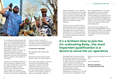

It's not all doom and gloom though. Just to say a few words regarding the bright spots we've seen during the darkness of 2021. There has been a lot of effort made by the Members' Affairs Committee to bring members together as a representative voice for our future. The community programmes as well as discussions that have resulted from those programmes have been truly inspirational and have brought us closer together as a co-operative.

Staff have been unfailingly dedicated to their work and have supported us with their effort and skills even in some of the most difficult conditions. And our volunteers have similarly done Trojan work to support the co-operative's initiatives. This work, and the resulting successes we've had were our bright spots of last year. And it's our staff, our volunteers, and our membership that form the community which continues to be our strength and ensure our sustainability.

#### **So what does 2022 hold?**

More challenges. More change. More disruption.

But there's also more innovation. More members. More events. More resilience!

This is what I hope and believe anyway. If we didn't have such brilliant people supporting our collective aims I'd be worried. If we had lost our sense of community I'd be worried. But the last few years, while incredibly stressful, have seemed to have brought us together in many ways, evidencing a deep and

abiding commitment to our co-operative aims. Just one example of this was a slight bump in sales after the February message came out, asking for member support. We asked and you responded, and it made a difference. Everything you do in support of the Co-op continues to make a difference.

This was my last year as Chair of the Coordinating Body and while it would have been a much easier role to fill during less challenging times, I'm grateful for the opportunity to serve. I'm also grateful for my colleagues on the CB who have made my role easy by being such a strong and dedicated group.

The Co-ordinating Body is a very strong and collaborative group. It's actually a brilliant time to join the CB if you're interested. While we are looking for some very specific skills (HR, Strategy, Finance, Retail) the most important qualification is a desire to serve the co-operative, and the ability to work amongst a team of truly outstanding leaders.

If you're interested in joining the CB please contact chair@dublinfood.coop for more information. While we vote annually on CB membership, interested members can volunteer to join at any time and be co-opted.

# **It's a brilliant time to join the Co-ordinating Body...the most important qualification is a desire to serve the co-operative**

I'd especially like to thank Sam Toland who has been acting as our Interim GM for much longer than I'm sure he intended to. While each and every member of staff, volunteer, member and customer has made a difference, Sam took on the GM challenge when no one else could and he has not just filled in, but has demonstrated exactly the kind of leadership that we hoped to see in the GM role. He has been an inspiration to us all.

Wishing you and your families the best for 2022.

Yours in co-operation,

**Maureen O'Donnell Co-ordinating Body Chair**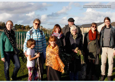**A member's visit to Cherry Orchard Community GardensIn October 2021**

an andre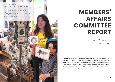# **S U P P O R T I N G L O C A L S U P P L I E R S**

Maecenas condimentum tincidunt lorem. Vestibulum vel tellus. Sed tellus. Sed tellus. Sed tellus. Sed tellus. Sed tellus. Sed tellus. Sed tel<br>Sed tellus. Sed tellus. Sed tellus. Sed tellus. Sed tellus. Sed tellus. Sed tellus. Sed tellus. Sed tellus. Se vulputate. Morbi massa nunc, convallis a, commodo gravida, tincidunt sed, turpis. Aenean ornare We have maintained our continued support of local suppliers and members, like illustrator Enagh Farrell. Our network of local small businesses, projects and growers is always a key factor in what we do.

**10**

**11**

viverra est. Maecenas lorem. Aenean euismod iaculis dui. Cum sociismod iaculis dui. Cum sociismod iaculis dui. Cum sociismod iaculis dui. Cum socii nato per per penatibus et magnis distribus et magnis distribus et magnis distribus et magnis distribus et magni part of the contest montes, nascetus ridiculus ridiculus ridiculus ridiculus ridiculus ridiculus ridiculus ridiculus ridiculus ridiculus ridiculus ridiculus ridiculus ridiculus ridiculus ridiculus ridiculus ridiculus ridic mus. Nulla quam aenean fermentum, aenean fermentum, aenean fermentum, aenean fermentum, aenean fermentum, aen turpis sed volution dignissim, dignissim, dignissim, dignissim, dignissim, dignissim, dignissim, dignissim, di risus facilisis nibh, sit amet iaculis est turpis non tellus. Nunc a mauris. Proince a mauris. Proince a mauris. Proince a mauris. Proince a mauris. Pro

eget ligula. Nam cursus libero.

dolor sit ameter sit ameter sit ameter sit ameter sit ameter sit ameter sit ameter sit ameter sit ameter sit a adipiscing elit. Suspendisse potenti. Sed tincidunt varius arcu. Mauris vitae arcu sit amet quam conditions of the conditions of the conditions of the conditions of the conditions of the c publicare publicare arcu elit, accumulation and accumulation arcu elit accumulation arcu elit accumulation arcu id, consequat ornare, lobortis vitae, ligula. Quisque vitae velit ac sapien place and place and place mollis just be a subsequent of the suscipit. Done is a subsequent of the suscipit of sed just the second second solution of the second second second second second second second second second second Duis bibendum adipiscing nibh. Maecenas diam risus, molestie ut, porta et, malesuada eget, nisi. In fermentum leo sed turpis. Sed lacus velit, consequat in, ultricies sit amet, malesuada et, diam. Integer mauris sem, convallis ut, consequat in, sollicitudin sed, leo. Cras purus elit, hendrerit ut, eget, sagittis at, eget, sagittis at nulla. Integer justo dui, faucibus dictum, convallis sodales, accumsan id, risus. Aenean risus. Vestibulum

Vestibulum velit orci, bibendum eget, molestie europäistie europäistie europäistie europäistie europäistie europäistie europäistie europäistie europäistie se de l'aligne de la proponent de

# **MEMBERS' AFFAIRS COMMITTEE REPORT**

# Robert Cazaciuc **MAC Facilitator**

The Members' Affairs Committee is a very active group with great levels of engagement. Meetings on various topics as well as social events have been held on a monthly or bimonthly basis since April 2021, with the first several months focused on the structure and governance of the committee. A variety of discussion points have been raised and discussed with a particular focus on: DFC Purchasing Policy, Unit 2 Developments, volunteering and most recently, members and volunteers discounts.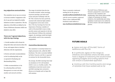## **Key objectives and activities**

The committee was set up as an avenue to increase members' engagement with the Co-op and was inspired by similar initiatives in other co-operatives. The key objectives of the MAC are defined in the Terms of Reference document which was drafted in June 2021.

## **There are 7 agreed objectives, with the top 3 being:**

1. Provide members with a forum for airing their ideas and concerns about the Co-op, and support them to interface effectively with the organisation;

2. Review and make recommendations to the Co-ordinating Body on the co-operative's Purchasing and Merchandising Policy;

3. Make recommendations to the Co-ordinating Body and Senior Management on events and other member and outreach activities.

The range of activities from the last 12 months included: online meetings, in-person meetings, pot-luck social events and joint workshops with the CB. This variation has been positively received with relatively high numbers of engagement across most events. One of the key learnings has been the importance of having a member of staff or CB attend MAC events to help provide context and expertise in the key areas discussed. Without this continued support, the meetings would lack depth and probably result in less community engagement. **Experience and activities the regrest desired from the secondary of the secondary of the secondary of the secondary of the secondary of the secondary of the secondary of the secondary of the secondary of the secondary of** 

#### **Committee Membership**

The committee is currently formed of a single permanent role, called the MAC Facilitator. The role is currently fulfilled by Robert Cazaciuc and this is expected to continue for the foreseeable future.

On average, the MAC meetings have had an attendance of 10 to 20 members which is seen as a healthy number. The combination of pot-luck social events and MAC meetings have attracted a diverse set of people and we hope this will continue.

There is currently a dedicated mailing list for the group at **membersaffairs@dublinfood.coop** with 83 current members registered. There is also a dedicated MAC Facilitator email address at **mac.facilitator@dublinfood.coop.**

The draft Terms of Reference puts forward a proposal for a more formal structure to the committee and membership. Since future plans include a degree of autonomy on certain initiatives, the membership and voting guidelines would need to be ratified by the CB to ensure a fair and transparent process.

## **FUTURE GOALS**

- $\bullet$  Agree and sign-off the MAC Terms of Donec facilisis egestas quam. Duis Reference with the CB
- $\bullet\,$  In particular, agree on the range on initiatives and activities where the MAC could have a degree of autonomy; this would involve agreeing budgets and funding options that et manufacture. Etiam porta nunc european porta nunc european porta nunc european porta nunc european porta nu<br>Etiam porta nunc european porta nunc european porta nunc european porta nunc european porta nunc european port can ensure a sustainable approach
- habitasse platea dictumst.  $\bullet\,$  Continue with the monthly events and range of activities that have worked well so far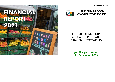





# **CO-ORDINATING BODY ANNUAL REPORT AND FINANCIAL STATEMENTS**

*for the year ended 31 December 2021*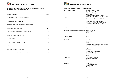

**CO-ORDINATING BODY ANNUAL REPORT AND FINANCIAL STATEMENTS for the year ended 31 December 2021** 

| <b>TABLE OF CONTENTS</b>                         | <b>PAGES</b>   |  |
|--------------------------------------------------|----------------|--|
| CO-ORDINATING BODY AND OTHER INFORMATION         | $\overline{2}$ |  |
| CO-ORDINATING BODY ANNUAL REPORT                 | $3 - 5$        |  |
| STATEMENT OF CO-ORDINATING BODY RESPONSIBILITIES | 6              |  |
| <b>INDEPENDENT AUDITOR'S REPORT</b>              | $7 - 9$        |  |
| APPENDIX TO THE INDEPENDENT AUDITOR'S REPORT     | 10             |  |
| INCOME AND EXPENDITURE ACCOUNT                   | 11             |  |
| <b>BALANCE SHEET</b>                             | 12             |  |
| RECONCILIATION OF MEMBERS' FUNDS                 | 13             |  |
| <b>CASH FLOW STATEMENT</b>                       | $14 - 15$      |  |
| NOTES TO THE FINANCIAL STATEMENTS                | $16 - 24$      |  |
| SUPPLEMENTARY INFORMATION ON TRADING STATEMENT   | $25 - 29$      |  |



#### **CO-ORDINATING BODY AND OTHER INFORMATION**

| <b>CO-ORDINATING BODY</b>                                | Maureen O'Donnell - Chair<br>Paolo Bostrenghi - Treasurer<br>Bróna Ní Chobhthaigh<br>Jonas Poulsen<br>Brigid Corcoran (elected 23 June 2021)<br>Elena San Juan Grande (elected 23 June |
|----------------------------------------------------------|----------------------------------------------------------------------------------------------------------------------------------------------------------------------------------------|
| 2021)                                                    | Marina Lambrakis (co-opted 11 November                                                                                                                                                 |
| 2021)                                                    | Filipa Ferraz (resigned 23 June 2021)<br>Rose McCaul (resigned 13 September 2021)<br>Grace Wilentz (resigned 13 April 2021)                                                            |
| CO-OPERATIVE SECRETARY                                   | Sam Tolland                                                                                                                                                                            |
| REGISTERED OFFICE AND BUSINESS ADDRESS Kilmainham Square | Inchicore Road<br>Dublin 8                                                                                                                                                             |
| <b>SOCIETY NUMBER</b>                                    | 4638 R                                                                                                                                                                                 |
| <b>BANKERS</b>                                           | Ulster Bank<br>63 Ranelagh<br>Dublin 6                                                                                                                                                 |
|                                                          | Ulster Community Investment Trust (Ireland)<br>Unit 16, Ardee Business Park<br><b>Hale Street</b><br>Ardee<br>Co. Louth                                                                |
|                                                          | Donore Credit Union Limited<br>22 Rutledge Terrace<br>South Circular Road<br>Dublin 8                                                                                                  |
| <b>SOLICITORS</b>                                        | Gary Daly and Company<br>111 The Capel Building<br>Mary's Abbey<br>Dublin 7                                                                                                            |
| <b>AUDITORS</b>                                          | Hayden Brown<br><b>Chartered Accountants</b><br><b>Grafton Buildings</b><br>34 Grafton Street<br>Dublin 2                                                                              |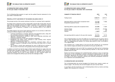## **CO-ORDINATING BODY ANNUAL REPORT**

**for the year ended 31 December 2021** 

The Co-Ordinating Body presents its report and the audited financial statements for the year ended 31 December 2021.

#### **PRINCIPAL ACTIVITY AND REVIEW OF THE BUSINESS INCLUDING COVID-19**

The principal activity of the society continues to be that of a consumer food co-operative.

The Dublin Food Co-Operative Society Limited (DFC) entered 2021 having dealt with the initial difficult challenges posed by the COVID-19 pandemic which commenced in March 2020 and unfortunately are ongoing in 2022. At the time of approving the financial statements, the Co-Operative is exposed to the continuing effects of the COVID-19 pandemic.

The COVID pandemic had several initial significant impacts on our activities in 2020 which continued to different degrees in 2021 and included:

- Continued amendments to strategic objectives and operational plans, along with new contingency planning to manage the impacts of COVID.
- Significant restructuring of staffing to meet social distancing restrictions and reduction in volunteer numbers.
- All physical events were in the main cancelled or postponed.<br>• Management, and support, teams, continued, to work, rem
- Management and support teams continued to work remotely which required significant changes to work practices;
- Meetings of Co-Ordinating Body and committees continued online, with an increased frequency in meetings to ensure that issues were dealt with in a timely manner.
- The increase in overall sales experienced for much of 2020 did not continue in 2021 as Covid-19 restrictions were gradually lifted and buying habits changed.

In addition to Covid-19 we had the impact of Brexit which affected our supply chain and nationally labour shortages emerged. Despite these difficult challenges, the hard work of our staff and volunteers has allowed us to maintain our essential service during the continuing pandemic and we wish to thank members for their continued support and custom as we navigated this difficult year and face the challenges of 2022.



#### **CO-ORDINATING BODY ANNUAL REPORT for the year ended 31 December 2021** *(Continued)*

| SUMMARY OF FINANCIAL RESULTS                                                         | 2021<br>€              | 2020<br>€                   |
|--------------------------------------------------------------------------------------|------------------------|-----------------------------|
| Trading income                                                                       | 1,068,014              | 1,287,411                   |
| Operating (deficit) surplus before exceptional items<br>Exceptional (expense)/income | (12, 125)<br>(10, 155) | 71,803                      |
| Operating (deficit) surplus after exceptional items                                  | (22, 280)              | 71,803                      |
| Interest charges<br>Interest income<br>Taxation                                      | (29, 227)<br>(1, 867)  | (33, 644)<br>199<br>(3,203) |
| Net operating (deficit) surplus for the year after taxation                          | (53,374)               | 35,155                      |

The Co-Ordinating Body was aware that 2020 was an exceptional year for grocery sales in Ireland. While elevated levels were maintained in the first quarter of 2021 the rest of 2021 was disappointing and resulted in an overall sales decline for 2021 of €219,000 or 17% as against 2020.

This translated into a trading deficit of €12,125 and after allowing for an exceptional item, interest charges and taxation the final deficit for the year was  $(F53,374)$ .

The trend established at the end of 2021 has continued into 2022 and the Co-Ordinating Body and management team are reducing operating expenses to help ensure the best possible outturn for 2022.

Despite the financial challenges the Co-Ordinating Body continues to focus on improving core services to the Co-Operative's members, pursuing the implementation of the most sustainable, appropriate and efficient means of providing these services and expanding our impact in the areas of education, advocacy and community development centred on our Co-Operative and sustainability ethos.

#### **CO-ORDINATING BODY AND SECRETARY**

The Co-Ordinating Body who served throughout the financial year, except as noted, are listed on page 2. The secretary who served throughout the year was Sam Toland.

In accordance with the Constitution, the Co-Ordinating Body retires by rotation and being eligible, offer themselves for re-election.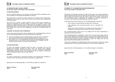

### **CO-ORDINATING BODY ANNUAL REPORT**

**for the year ended 31 December 2021** *(Continued)*

#### **FUTURE DEVELOPMENTS**

The core enterprise objective of the society is maintaining financial sustainability and to ensure repayment of borrowings and rebuilding our reserves.

The society plans to continue its present activities and increase current trading levels. Employees and volunteers are kept as fully informed as practicable about developments within the business.

The society has a number of impact objectives which include further expanding our offering of sustainable and ethical products, increasing our suppliers of local fresh produce and raising awareness of how co-operatives can contribute to building a more sustainable economy. The membership will be critical to seeing these objectives achieved both through their trading and their engagement through the Co-Ordinating Body and committees.

#### **STATEMENT OF RELEVANT AUDIT INFORMATION**

In the case of each of the persons who are members of the Co-Ordinating body at the time the Co-Ordinating Body's Report and Financial Statements are approved:

- (a) As far as the members of the Co-Ordinating body are aware, there is no relevant audit information of which the Society's statutory auditors are unaware, and
- (b) Each member of the Co-Ordinating Body has taken all steps appropriate to make themselves aware of any relevant audit information and to establish that the Society's statutory auditors are aware of that information.

#### **ACCOUNTING RECORDS**

To ensure that adequate accounting records are kept in accordance with the Irish Industrial and Provident Societies Acts 1893 to 2018, the directors have employed appropriately qualified accounting personnel and have maintained appropriate computerised accounting systems. The accounting records are located at the Society's office at Kilmainham Square, Inchicore Road, Dublin 8.

#### **AUDITORS**

The auditors, Hayden Brown, Chartered Accountants, have indicated their willingness to continue in office, should members resolve at the AGM to re-appoint them.

Approved by the Co-Ordinating Body on 13 June 2022 and signed on its behalf by:

*Maureen O'Donnell Paolo Bostrenghi* 

*Chair Treasurer* 



#### **STATEMENT OF CO-ORDINATING BODY RESPONSIBILITIES for the year ended 31 December 2021**

The Industrial and Provident Societies Acts 1893 to 2018 require the Co-Ordinating Body to prepare financial statements for each financial year which give a true and fair view of the state of affairs of the society and of the surplus or deficit of the society for that period. The Co-Ordinating Body is responsible for preparing the financial statements in accordance with accounting standards generally accepted in Ireland.

In preparing those financial statements, the Co-Ordinating Body is required to:

- select suitable accounting policies and apply them consistently;
- make judgements and accounting estimates that are reasonable and prudent;
- prepare the financial statements on the going concern basis unless it is inappropriate to presume that the Society will continue in operation.

The Co-Ordinating Body confirms that it has complied with the above requirements in preparing the financial statements.

The Co-Ordinating Body is responsible to ensure that the Society keeps proper books of account which disclose with reasonable accuracy at any time the financial position of the society and to enable them to ensure the financial statements are prepared in accordance with accounting standards generally accepted in Ireland and comply with the Irish Industrial and Provident Societies Acts 1893 to 2018.

They are also responsible for safeguarding the assets of the Society and hence for taking reasonable steps for the prevention and detection of fraud and other irregularities.

Approved by the Co-Ordinating Body on 13 June 2022 and signed on its behalf by:

*Maureen O'Donnell Paolo Bostrenghi Chair Treasurer*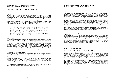#### **INDEPENDENT AUDITOR'S REPORT TO THE MEMBERS OF THE DUBLIN FOOD CO-OPERATIVE SOCIETY**

#### **REPORT ON THE AUDIT OF THE FINANCIAL STATEMENTS**

#### *Opinion*

We have audited the financial statements of Dublin Food Co-Operative Society Limited ('the Society') for the year ended 31 December 2021 which comprise the Income and Expenditure Account, the Balance Sheet, the Reconciliation of Members' Funds, Statement of Cash Flows and the related notes to the financial statements, including significant accounting policies set out in note 2. The financial reporting framework that has been applied in their preparation is the Industrial and Provident Societies Acts 1893 to 2018 and FRS 102 "The Financial Reporting Standard applicable in the UK and Republic of Ireland" issued in the United Kingdom by the Financial Reporting Council.

In our opinion the financial statements:

- give a true and fair view of the assets, liabilities and financial position of the Society as at 31 December 2021 and of its results for the year then ended;
- have been properly prepared in accordance with FRS 102 "The Financial Reporting Standard applicable in the UK and Republic of Ireland"; and
- have been properly prepared in accordance with the requirements of the Industrial and Provident Societies Acts 1893 to 2018.

#### *Basis for opinion*

We conducted our audit in accordance with International Standards on Auditing (Ireland) (ISAs (Ireland)) and applicable law. Our responsibilities under those standards are further described in the Auditor's responsibilities for the audit of the financial statements section of our report. We are independent of the society in accordance with the ethical requirements that are relevant to our audit of financial statements in Ireland, including the Ethical Standard for Auditors (Ireland) issued by the Irish Auditing and Accounting Supervisory Authority (IAASA), and we have fulfilled our other ethical responsibilities in accordance with these requirements. We believe that the audit evidence we have obtained is sufficient and appropriate to provide a basis for our opinion.

#### *Conclusions relating to going concern*

In auditing the financial statements, we have concluded that the Co-Ordinating Body's use of the going concern basis of accounting in the preparation of the financial statements is appropriate.

Based on the work we have performed, we have not identified any material uncertainties relating to events or conditions that, individually or collectively, may cast significant doubt on the Society's ability to continue as a going concern for a period of at least twelve months from the date when the financial statements are authorised for issue.

Our responsibilities and the responsibilities of the Co-Ordinating Body with respect to going concern are described in the relevant sections of this report.

#### **INDEPENDENT AUDITOR'S REPORT TO THE MEMBERS OF THE DUBLIN FOOD CO-OPERATIVE SOCIETY** *(Continued)*

#### *Other information*

The Co-Ordinating Body are responsible for the other information. The other information comprises the information included in the annual report other than the financial statements and our Auditor's Report thereon. Our opinion on the financial statements does not cover the other information and, except to the extent otherwise explicitly stated in our report, we do not express any form of assurance conclusion thereon.

In connection with our audit of the financial statements, our responsibility is to read the other information and, in doing so, consider whether the other information is materially inconsistent with the financial statements or our knowledge obtained in the course of the audit, or otherwise appears to be materially misstated. If we identify such material inconsistencies or apparent material misstatements, we are required to determine whether there is a material misstatement in the financial statements or a material misstatement of the other information. If, based on the work we have performed, we conclude that this gives rise to a material misstatement of this other information, we are required to report the fact. We have nothing to report in this regard.

#### *Opinions on other matters prescribed by the Industrial and Provident Societies Acts 1893 to 2018*

As required by Section 13(2) of the Industrial and Provident Societies Acts 1893 to 2018, we examined the Society balance sheet showing the receipts and expenditure, funds and effects of the society, and verified the same with the books, deeds, documents, accounts and vouchers relating thereto, and found them to be correct, duly vouched, and in accordance with law. In our opinion the accounting records of the society were sufficient to permit the financial statements to be readily and properly audited and the financial statements are in agreement with the accounting records.

#### **RESPECTIVE RESPONSIBILITIES**

#### *Responsibilities of Co-Ordinating Body for the financial statements*

As explained more fully in the Statement of Co-Ordinating Body Responsibilities set out on page 6, the Co-Ordinating Body are responsible for the preparation of the financial statements in accordance with applicable financial reporting framework and for being satisfied that they give a true and fair view, and for such internal control as they determine is necessary to enable the preparation of financial statements that are free from material misstatement, whether due to fraud or error.

In preparing the financial statements, the Co-Ordinating Body are responsible for assessing the society's ability to continue as a going concern, disclosing, as applicable, matters related to the going concern and using the going concern basis of accounting unless the Co-Ordinating Body either intends to liquidate the society or to cease operations, or has no realistic alternative but to do so.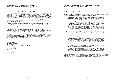#### **INDEPENDENT AUDITOR'S REPORT TO THE MEMBERS OF THE DUBLIN FOOD CO-OPERATIVE SOCIETY** *(Continued)*

#### *Auditor's responsibilities for the audit of the financial statements*

Our objectives are to obtain reasonable assurance about whether the financial statements as a whole are free from material misstatement, whether due to fraud or error, and to issue an Auditor's Report that includes our opinion. Reasonable assurance is a high level of assurance but is not a guarantee that an audit conducted in accordance with ISAs (Ireland) will always detect a material misstatement when it exists. Misstatements can arise from fraud or error and are considered material if, individually or in aggregate, they could reasonably be expected to influence the economic decisions of users taken on the basis of these financial statements.

A further description of our responsibilities for the audit of the financial statements is contained in the appendix to this report, located at page 10, which is to be read as an integral part of our report.

#### *The purpose of our audit work and to whom we owe our responsibilities*

Our report is made to the society's members, as a body, in accordance with the requirements of the Industrial and Provident Societies Acts 1893 to 2018. Our audit work has been undertaken so that we might state to the society's members those matters we are required to state to them in an Auditor's Report and for no other purpose. To the fullest extent permitted by law, we do not accept or assume any responsibility to anyone other than the society and the society's members, as a body, for our audit work, for this report, or for the opinions we have formed.

#### *Stephen Brown*

*for and on behalf of:*  **Hayden Brown Chartered Accountants and Statutory Audit Firm Grafton Buildings 34 Grafton Street Dublin 2**

**13 June 2022**

#### **APPENDIX TO INDEPENDENT AUDITOR'S REPORT TO THE MEMBERS OF THE DUBLIN FOOD CO-OPERATIVE SOCIETY**

#### *Further information regarding the scope of our responsibilities as auditors*

As part of an audit in accordance with ISAs (Ireland), we exercise professional judgement and maintain professional scepticism throughout the audit. We also:

- Identify and assess the risks of material misstatement of the financial statements, whether due to fraud or error, design and perform audit procedures responsive to those risks, and obtain audit evidence that is sufficient and appropriate to provide a basis for our opinion. The risk of not detecting a material misstatement resulting from fraud is higher than for one resulting from error, as fraud may involve collusion, forgery, intentional omissions, misrepresentations, or the override of internal control.
- Obtain an understanding of internal control relevant to the audit in order to design audit procedures that are appropriate in the circumstances, but not for the purpose of expressing an opinion on the effectiveness of the Society's internal control.
- Evaluate the appropriateness of accounting policies used and the reasonableness of accounting estimates and related disclosures made by the directors.
- Conclude on the appropriateness of the directors' use of the going concern basis of accounting and, based on the audit evidence obtained, whether a material uncertainty exists related to events or conditions that may cast significant doubt on the Society's ability to continue as a going concern. If we conclude that a material uncertainty exists, we are required to draw attention in our Auditor's Report to the related disclosures in the financial statements or, if such disclosures are inadequate, to modify our opinion. Our conclusions are based on the audit evidence obtained up to the date of our Auditor's Report. However, future events or conditions may cause the Society to cease to continue as a going concern.
- Evaluate the overall presentation, structure and content of the financial statements, including the disclosures, and whether the financial statements represent the underlying transactions and events in a manner that achieves fair presentation.

We communicate with those charged with governance regarding, among other matters, the planned scope and timing of the audit and significant audit findings, including any significant deficiencies in internal control that we identify during our audit.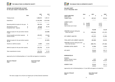

#### **INCOME AND EXPENDITURE ACCOUNT for the year ended 31 December 2021**

|                                                          | <b>Note</b> | 2021<br>€           | 2020<br>€        |
|----------------------------------------------------------|-------------|---------------------|------------------|
| <b>Trading Income</b>                                    |             | 1,068,014           | 1,287,411        |
| Expenditure                                              |             | (1, 163, 349)       | (1, 281, 960)    |
| Operating (deficit)/surplus for the year                 | 5           | (95, 335)           | 5,451            |
| Miscellaneous income<br>Exceptional item - expense       | 6<br>7      | 83,210<br>(10, 155) | 66,352           |
| (Deficit)/surplus for the year before interest<br>71,803 |             |                     | (22, 280)        |
| Interest payable and similar expenses<br>Interest income | 8           | (29, 227)           | (33, 644)<br>199 |
| (Deficit)/surplus for the year before taxation<br>38,358 |             |                     | (51, 507)        |
| Taxation on (deficit)/surplus                            | 9           | (1, 867)            | (3,203)          |
| (Deficit)/surplus for the year after taxation            |             | (53, 374)           | 35,155           |
| Total comprehensive income                               |             | (53, 374)           | 35,155           |

Approved by the Co-Ordinating Body on 13 June 2022 and signed on its behalf by:

*Maureen O'Donnell Paolo Bostrenghi Chair Treasurer* 



#### **BALANCE SHEET as at 31 December 2021**

|                                                           | <b>Note</b> |                  | 2021       |                  | 2020       |
|-----------------------------------------------------------|-------------|------------------|------------|------------------|------------|
| <b>ASSETS EMPLOYED</b><br><b>FIXED ASSETS</b>             |             | €                | €          | €                | €          |
| Tangible assets                                           | 10          |                  | 697,431    |                  | 699,834    |
|                                                           |             |                  |            |                  |            |
| <b>CURRENT ASSETS</b>                                     |             |                  |            |                  |            |
| <b>Stocks</b>                                             | 11<br>12    | 36,872           |            | 41,571<br>25,293 |            |
| <b>Debtors</b><br>Cash at bank and in hand                |             | 10,153<br>43,673 |            | 71,425           |            |
|                                                           |             |                  |            |                  |            |
|                                                           |             |                  | 90,698     |                  | 138,289    |
| <b>CREDITORS</b> (amounts falling due<br>within one year) | 13          |                  | (185, 045) |                  | (191, 297) |
|                                                           |             |                  |            |                  |            |
| <b>NET CURRENT LIABILITIES</b>                            |             |                  | (94, 347)  |                  | (53,008)   |
|                                                           |             |                  |            |                  |            |
| TOTAL ASSETS LESS CURRENT LIABILITIES                     |             |                  | 603,084    |                  | 646,826    |
| CREDITORS (amounts falling due after                      |             |                  |            |                  |            |
| more than one year)                                       | 14          |                  | (500, 191) |                  | (491, 868) |
| DEFERRED CAPITAL GRANTS                                   | 16          |                  | (7, 259)   |                  | (5, 845)   |
|                                                           |             |                  |            |                  |            |
| <b>NET ASSETS</b>                                         |             |                  | 95,634     |                  | 149,113    |
|                                                           |             |                  |            |                  |            |
| <b>REPRESENTED BY</b>                                     |             |                  |            |                  |            |
|                                                           |             |                  |            |                  |            |
| <b>RESERVES:</b><br>Capital, members' shares              |             |                  | 1,371      |                  | 1,476      |
| <b>Retained reserves</b>                                  |             |                  | 94,263     |                  | 147,637    |
|                                                           |             |                  |            |                  |            |
| <b>MEMBERS' FUNDS</b>                                     |             |                  | 95,634     |                  | 149,113    |
|                                                           |             |                  |            |                  |            |

Approved by the Co-Ordinating Body on 13 June 2022 and signed on its behalf by:

*Maureen O'Donnell Paolo Bostrenghi* 

*Chair Treasurer* 

*The notes on pages 16 to 24 form an integral part of these financial statements*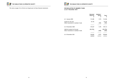

*The notes on pages 16 to 24 form an integral part of these financial statements* 



#### **RECONCILIATION OF MEMBERS' FUNDS as at 31 December 2021**

|                                                                     | Retained<br>Reserves<br>€ | Members'<br>shares<br>€ | Total<br>€        |
|---------------------------------------------------------------------|---------------------------|-------------------------|-------------------|
| At 1 January 2020                                                   | 112,482                   | 1,974                   | 114,456           |
| Surplus for the year<br>Other movements in members' funds           | 35,155                    | (498)                   | 35,155<br>(498)   |
| At 31 December 2020                                                 | 147,637                   | 1,476                   | 149,113           |
| (Deficit)/surplus for the year<br>Other movements in members' funds | (53, 374)                 | (105)                   | (53,374)<br>(105) |
| At 31 December 2021                                                 | 94,263                    | 1,371                   | 95,634            |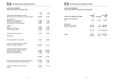

#### **CASH FLOW STATEMENT for the year ended 31 December 2021**

*2021 2020 € €* CASH FLOWS FROM OPERATING ACTIVITIES (Deficit)/surplus for the financial year before taxation **(51,507)** 38,358 *Adjustments for:*  Depreciation of tangible assets **21,368** 17,307 Amortisation of capital grants<br>
Interest payable and similar expense<br> **1,156** (1,156) (835)<br> **29,227** (33,644 Interest payable and similar expense *Changes in:*  Stocks **4,699** (7,192) Trade and other debtors **15,140** (13,400) Trade and other creditors (**6,252**) 42,943 **\_\_\_\_\_\_** \_\_\_\_\_\_ Cash generated from operations **11,519** 110,825 Taxation paid **–** – Net cash generated from operations **11,519** 110,825 CASH FLOWS FROM INVESTING ACTIVITIES Purchase of tangible fixed assets **(18,965)** (13,144) **\_\_\_\_\_\_** \_\_\_\_\_\_ CASH FLOWS FROM FINANCING ACTIVITIES Increase/(decrease) in long term loans **8,323** (38,652)<br>Interest paid on borrowings (29,227) (33,644) Interest paid on borrowings **(29,227)** (33,644)<br>(Decrease) in members' shares (105) (498) (Decrease) in members' shares **(105)** (105) **\_\_\_\_\_\_** \_\_\_\_\_\_ **(21,009)** (72,794) **\_\_\_\_\_\_** \_\_\_\_\_\_ Net (decrease)/increase in cash and cash equivalents **(27,752)** 24,887 Cash and cash equivalents at beginning of year **\_\_\_\_\_\_** \_\_\_\_\_\_ Cash and cash equivalents at end of year **43,673** 71,425 **=======** =======



#### **CASH FLOW STATEMENT**

**for the year ended 31 December 2021** *(Continued)*

| Αt<br>1 January<br>2021 | Cash flows | Αt<br>31 December<br>2021 |
|-------------------------|------------|---------------------------|
|                         |            | €                         |
| 71,425                  | (27, 752)  | 43,673                    |
|                         |            |                           |
|                         |            |                           |
| (81, 626)               | 3,124      | (78, 502)                 |
| (491, 868)              |            | (500, 191)                |
|                         |            |                           |
| (573, 494)              |            | (578, 693)                |
|                         |            |                           |
| (502,069)               |            | $(32,951)$ $(535,020)$    |
|                         |            |                           |
|                         | €          | €<br>(8,323)<br>(5, 199)  |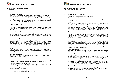

#### **NOTES TO THE FINANCIAL STATEMENTS 31 December 2021**

#### **1. GENERAL INFORMATION**

 Dublin Food Co-Operative Society Limited is incorporated in the Republic of Ireland. Its registered office is at Kilmainham Square, Inchicore Road, Dublin 8, which is also the principal place of business of the Society. The nature of the Society's operations and its principal activities are set out in the Co-Ordinating Body Annual Report. The financial statements have been presented in euro  $(\epsilon)$ which is also the functional currency of the Society.

#### **2. ACCOUNTING POLICIES**

 The following accounting policies have been applied consistently in dealing with items which are considered material in relation to the society's financial statements.

#### *Statement of compliance*

 The financial statements of the society for the year ended 31 December 2021 have been prepared on the going concern basis and in accordance with FRS 102 "The Financial Reporting Standard applicable in the UK and Republic of Ireland" (FRS 102).

#### *Basis of preparation*

 The financial statements have been prepared on the going concern basis and in accordance with the historical cost convention. Historical cost is generally based on the fair value of the consideration given in exchange for assets. The financial reporting framework that has been applied in their preparation is the Industrial and Provident Societies Acts 1893 to 2018 and FRS 102 "The Financial Reporting Standard applicable in the UK and Republic of Ireland".

#### *Income*

 Trading income represents the total invoice value, excluding value added tax, of sales made during the year. Members' subscriptions are accounted for when they are received.

#### *Life time memberships*

 Life time membership subscriptions are being credited to income over a period of three years from date of receipt.

#### *Tax status*

 The Society is liable to corporation tax on its non-mutual income i.e. net trading income from non-members, interest income and on its net rental income.

#### *Tangible fixed assets and depreciation*

 Tangible fixed assets are stated at historical cost or at valuation, less accumulated depreciation. The charge to depreciation is calculated to write off the original cost or valuation of tangible fixed assets, less their estimated residual value, over their expected useful lives as follows:

| Land and buildings freehold      | Straight line       |
|----------------------------------|---------------------|
| Fixtures, fittings and equipment | 12.5% Straight line |



**NOTES TO THE FINANCIAL STATEMENTS 31 December 2021** *(Continued)*

#### **2. ACCOUNTING POLICIES** *(Continued)*

#### *Tangible fixed assets and depreciation (Continued)*

 The carrying values of tangible fixed assets are reviewed annually for impairment in periods if events or changes in circumstances indicate the carrying value may not be recoverable.

#### *Stocks*

 Stocks are valued at the lower of cost and net realisable value. Stocks are determined on a first-in first-out basis. Cost comprises expenditure incurred in the normal course of business in bringing stocks to their present location and condition. Full provision is made for obsolete and slow-moving items. Net realisable value comprises actual or estimated selling price (net of trade discounts) less all further costs to completion or to be incurred in marketing and selling.

#### *Trade and other debtors*

 Trade and other debtors are initially recognised at fair value and thereafter stated at amortised cost using the effective interest method less impairment losses for bad and doubtful debts except where the effect of discounting would be immaterial. In such cases the receivables are stated at cost less impairment losses for bad and doubtful debts.

#### *Borrowing costs*

 Borrowing costs relating to the acquisition of assets are capitalised at the appropriate rate by adding them to the cost of assets being acquired. Investment income earned on the temporary investment of specific borrowings pending their expenditure on the assets is deducted from the borrowing costs eligible for capitalisation. All other borrowing costs are recognised in income and expenditure in the period in which they are incurred.

#### *Trade and other creditors*

 Trade and other creditors are initially recognised at fair value and thereafter stated at amortised cost using the effective interest rate method, unless the effect of discounting would be immaterial, in which case they are stated at cost.

#### *Foreign currencies*

 Monetary assets and liabilities denominated in foreign currencies are translated at the rates of exchange ruling at the Balance Sheet date. Non-monetary items that are measured in terms of historical cost in a foreign currency are translated at the rates of exchange ruling at the date of the transaction. Non-monetary items that are measured at fair value in a foreign currency are translated using the exchange rates at the date when the fair value was determined. The resulting exchange differences are dealt with in the income and expenditure account.

#### *Exceptional item*

 Exceptional items are those that the Co-Ordinating Body members view are required to be separately disclosed by virtue of their size or incidence to enable a full understanding of the Society's financial performance.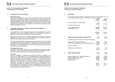

#### **NOTES TO THE FINANCIAL STATEMENTS 31 December 2021** *(Continued)*

#### **2. ACCOUNTING POLICIES** *(Continued)*

#### *Government grants*

 Grants are recognised at fair value of the asset receivable using the accruals model when there is reasonable assurance that the grant will be received and all attaching conditions will be complied with. Grants towards capital expenditure are credited to deferred income and are released to the profit and loss account over the expected useful life of the related assets, by equal annual instalments. Grants towards revenue expenditure are released to the profit and loss account as the related expenditure is incurred.

#### **3. JUDGMENTS IN APPLYING ACCOUNTING POLICIES AND KEY SOURCES OF ESTIMATION UNCERTAINTY**

 The preparation of these financial statements requires management to make judgements, estimates and assumptions that affect the application of policies and reported amounts of assets and liabilities, income and expenses.

 Judgements and estimates are continually evaluated and are based on historical experiences and other factors, including expectations of future events that are believed to be reasonable under the circumstances.

 The Society makes estimates and assumptions concerning the future. The resulting accounting estimates will, by definition, seldom equal the related actual results. The estimates and assumptions that have a significant risk of causing a material adjustment to the carrying amounts of the assets and liabilities within the next financial year are discussed below:

#### *(a) Tangible fixed assets*

 In note 10 to the financial statements, land and buildings are stated at cost less depreciation, because the market value taking into account the possible other uses for the land and buildings is not currently significantly different.

#### *(b) COVID*

Like many businesses, the Dublin Food Co-Operative Society is exposed to the effects of the COVID pandemic. The Co-Ordinating Body has prepared budgets and cash flows for a period of at least twelve months from the date of approval of the financial statements which demonstrate that there is no material uncertainty regarding the Society's ability to meet its liabilities as they fall due, and to continue as a going concern. On this basis, the Co-Ordinating Body considers it appropriate to prepare the financial statements on a going concern basis. Accordingly, these financial statements do not include any adjustments to the carrying amounts and classification of assets and liabilities that may arise if the Society was unable to continue as a going concern. The financial statements have been prepared on a going concern basis.



**NOTES TO THE FINANCIAL STATEMENTS 31 December 2021** *(Continued)*

#### **4. EMPLOYEES**

 The average monthly number of employees during the year 18 (2020: 19). The Society also receives the support of volunteers for various activities.

|                                                                                                                         | 2021<br><b>Number</b>               | 2020<br><b>Number</b>               |
|-------------------------------------------------------------------------------------------------------------------------|-------------------------------------|-------------------------------------|
| Retail operations and administration                                                                                    | 18                                  | 19                                  |
| The staff costs comprise:                                                                                               | €                                   | €                                   |
| Gross wages and salaries<br>Social welfare costs                                                                        | 276,902<br>26,595                   | 255,620<br>24,256                   |
|                                                                                                                         | 303,497                             | 279,876                             |
| 5.<br>OPERATING (DEFICIT)/SURPLUS FOR THE YEAR                                                                          | 2021<br>€                           | 2020<br>€                           |
| The operating (deficit)/surplus is stated after charging:                                                               |                                     |                                     |
| Depreciation of tangible fixed assets<br>Auditor's remuneration for audit of financial statements                       | 21,368<br>4,100                     | 17,307<br>3,000                     |
| and after crediting:                                                                                                    |                                     |                                     |
| Amortisation of capital grants                                                                                          | 1,156                               | 835                                 |
| <b>MISCELLANEOUS INCOME</b><br>6.                                                                                       | 2021<br>€                           | 2020<br>€                           |
| Revenue based grants - website development<br>Rent receivable - other income<br>Members' subscriptions<br>Sundry income | 37,103<br>24,739<br>19,775<br>1,593 | 16,285<br>26,988<br>20,366<br>2,713 |
|                                                                                                                         | 83,210                              | 66,352                              |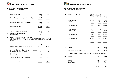

#### **NOTES TO THE FINANCIAL STATEMENTS 31 December 2021** *(Continued)*

| Write off of payment in respect of new awning<br>10,155<br>_____<br><b>INTEREST PAYABLE AND SIMILAR EXPENSES</b><br>2021<br>2020<br>8.<br>€<br>€<br>Interest on bank loans<br>29,227<br>33,644<br>9.<br><b>TAXATION ON (DEFICIT)/SURPLUS</b><br>2021<br>2020<br>€<br>€<br>Analysis of charge in the year:<br>(a)<br>Corporation tax<br>1,867<br>3,203<br>Factors affecting tax charge for the year:<br>(b)<br>The tax assessed for the year differs from the standard rate of corporation tax in<br>the Republic of Ireland 12.50% (2020: 12.50%). The differences are explained<br>below:<br>2021<br>2020<br>€<br>€<br>38,358<br>(Deficit)/surplus for the year before taxation<br>(51, 507)<br>(Deficit)/surplus for the year before taxation multiplied<br>by the standard rate of corporation tax in the Republic<br>of Ireland at 12.50% (2020: 12.50%)<br>(6, 438)<br>4,794<br>Effects of:<br>Utilisation of tax losses<br>3,638<br>Other, including effect of higher taxation rates<br>applicable to non-trading rental income<br>(1, 591)<br>933<br>Total taxation charge for the year (see Note 9 (a))<br>1,867<br>3,203 | 7. | <b>EXCEPTIONAL ITEM</b> | 2021<br>€ | 2020<br>€ |
|-----------------------------------------------------------------------------------------------------------------------------------------------------------------------------------------------------------------------------------------------------------------------------------------------------------------------------------------------------------------------------------------------------------------------------------------------------------------------------------------------------------------------------------------------------------------------------------------------------------------------------------------------------------------------------------------------------------------------------------------------------------------------------------------------------------------------------------------------------------------------------------------------------------------------------------------------------------------------------------------------------------------------------------------------------------------------------------------------------------------------------------|----|-------------------------|-----------|-----------|
|                                                                                                                                                                                                                                                                                                                                                                                                                                                                                                                                                                                                                                                                                                                                                                                                                                                                                                                                                                                                                                                                                                                                   |    |                         |           |           |
|                                                                                                                                                                                                                                                                                                                                                                                                                                                                                                                                                                                                                                                                                                                                                                                                                                                                                                                                                                                                                                                                                                                                   |    |                         |           |           |
|                                                                                                                                                                                                                                                                                                                                                                                                                                                                                                                                                                                                                                                                                                                                                                                                                                                                                                                                                                                                                                                                                                                                   |    |                         |           |           |
|                                                                                                                                                                                                                                                                                                                                                                                                                                                                                                                                                                                                                                                                                                                                                                                                                                                                                                                                                                                                                                                                                                                                   |    |                         |           |           |
|                                                                                                                                                                                                                                                                                                                                                                                                                                                                                                                                                                                                                                                                                                                                                                                                                                                                                                                                                                                                                                                                                                                                   |    |                         |           |           |
|                                                                                                                                                                                                                                                                                                                                                                                                                                                                                                                                                                                                                                                                                                                                                                                                                                                                                                                                                                                                                                                                                                                                   |    |                         |           |           |
|                                                                                                                                                                                                                                                                                                                                                                                                                                                                                                                                                                                                                                                                                                                                                                                                                                                                                                                                                                                                                                                                                                                                   |    |                         |           |           |
|                                                                                                                                                                                                                                                                                                                                                                                                                                                                                                                                                                                                                                                                                                                                                                                                                                                                                                                                                                                                                                                                                                                                   |    |                         |           |           |
|                                                                                                                                                                                                                                                                                                                                                                                                                                                                                                                                                                                                                                                                                                                                                                                                                                                                                                                                                                                                                                                                                                                                   |    |                         |           |           |
|                                                                                                                                                                                                                                                                                                                                                                                                                                                                                                                                                                                                                                                                                                                                                                                                                                                                                                                                                                                                                                                                                                                                   |    |                         |           |           |
|                                                                                                                                                                                                                                                                                                                                                                                                                                                                                                                                                                                                                                                                                                                                                                                                                                                                                                                                                                                                                                                                                                                                   |    |                         |           |           |
|                                                                                                                                                                                                                                                                                                                                                                                                                                                                                                                                                                                                                                                                                                                                                                                                                                                                                                                                                                                                                                                                                                                                   |    |                         |           |           |



#### **NOTES TO THE FINANCIAL STATEMENTS 31 December 2021** *(Continued)*

| 10. | <b>TANGIBLE FIXED ASSETS</b>                                                        | Freehold<br>land and<br>buildings<br>€ | Fixtures,<br>fittings and<br>equipment<br>€ | Total<br>€        |
|-----|-------------------------------------------------------------------------------------|----------------------------------------|---------------------------------------------|-------------------|
|     | At 1 January 2021<br>Additions                                                      | 705,501                                | 30,212<br>18,965                            | 735,713<br>18,965 |
|     | At 31 December 2021                                                                 | 705,501                                | 49,177                                      | 754,678           |
|     | At 1 January 2021<br>Charge for year                                                | 30,575<br>14,110                       | 5,304<br>7,258                              | 35,879<br>21,368  |
|     | At 31 December 2021                                                                 | 44,685                                 | 12,562                                      | 57,247            |
|     | At 31 December 2021                                                                 | 660,816                                | 36,615                                      | 697,431           |
|     | At 31 December 2020                                                                 | 674,926                                | 24,908                                      | 699,834           |
| 11. | <b>STOCKS</b>                                                                       |                                        | 2021<br>€                                   | 2020<br>€         |
|     | Finished goods and goods for resale                                                 |                                        | 36,872                                      | 41,571            |
|     | The replacement cost of stocks did not differ significantly from the figures shown. |                                        |                                             |                   |
| 12  | <b>DEBTORS</b>                                                                      |                                        | 2021                                        | 2020              |

| 12. | <b>DEBTORS</b>                                  | 2021<br>€             | 2020<br>€                |
|-----|-------------------------------------------------|-----------------------|--------------------------|
|     | Prepayments<br><b>Taxation</b><br>Other debtors | 7,090<br>2,561<br>502 | 5,475<br>2,561<br>17,257 |
|     |                                                 |                       |                          |
|     |                                                 | 10,153                | 25,293                   |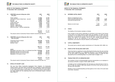

#### **NOTES TO THE FINANCIAL STATEMENTS 31 December 2021** *(Continued)*

| 13. | <b>CREDITORS</b> (amounts falling due within<br>one year)                                                                                    | 2021<br>€        | 2020<br>€        |
|-----|----------------------------------------------------------------------------------------------------------------------------------------------|------------------|------------------|
|     | Trade creditors<br>Community Finance Ireland loan - secured                                                                                  | 72,896<br>63,000 | 62,905<br>53,672 |
|     | Accruals                                                                                                                                     | 12,803           | 21,212           |
|     | Taxation - VAT                                                                                                                               | 10,306           | 9,684            |
|     | Credit Union loan                                                                                                                            | 9,524            | 10,317           |
|     | Members' loans                                                                                                                               | 5,978            | 17,637           |
|     | Taxation - Corporate                                                                                                                         | 5,070            | 3,203            |
|     | Taxation - PAYE and PRSI                                                                                                                     | 3,725            | 6,423            |
|     | Deferred income - lifetime membership                                                                                                        | 1,743            | 6,244            |
|     |                                                                                                                                              |                  |                  |
|     |                                                                                                                                              | 185,045          | 191,297          |
| 14. | The amount owed to Community Finance Ireland is secured (see Note 15).<br><b>CREDITORS</b> (amounts falling due after more<br>than one year) | 2021<br>€        | 2020<br>€        |
|     |                                                                                                                                              | 438,340          | 433,851          |
|     | Community Finance Ireland<br>Credit Union loan                                                                                               | 34,955           | 39,107           |
|     | Members' loans                                                                                                                               | 26,896           | 18,910           |
|     |                                                                                                                                              |                  |                  |
|     |                                                                                                                                              | 500,191          | 491,868          |
|     |                                                                                                                                              |                  |                  |
|     | Loans:<br>Repayable in one year or less, or on demand (see Note 13)78,502                                                                    |                  | 81,626           |
|     | Repayable between one and two years                                                                                                          | 97,268           | 68,151           |
|     | Repayable between two and five years                                                                                                         | 168,364          | 204,554          |
|     | Repayable in five years or more                                                                                                              | 234,559          | 219,163          |
|     |                                                                                                                                              |                  |                  |
|     |                                                                                                                                              | 578,693          | 573,494          |
|     |                                                                                                                                              |                  |                  |

The amount owed to Community Finance Ireland is secured *(see Note 15).*

#### **15. DETAILS OF SECURITY LOAN**

 The loan from Ulster Community Investment Trust (Ireland), t/a Community Finance Ireland, was drawn down at €530,000 and is repayable in equal instalments of €4,473 per month over a 15 year term at a minimum interest rate of 6% subject to the underlying European Central Bank rate. Community Finance Ireland holds a first legal charge over two adjoining retail units at Kilmainham Square, Inchicore Road, Dublin 8.



#### **NOTES TO THE FINANCIAL STATEMENTS 31 December 2021** *(Continued)*

| 16. | DEFERRED CAPITAL GRANTS                                                                     | 2021<br>€                  | 2020<br>€      |
|-----|---------------------------------------------------------------------------------------------|----------------------------|----------------|
|     | Balance at beginning of year<br>Grant received during the year<br>Amortised during the year | 5,845<br>2,570<br>(1, 156) | 6,680<br>(835) |
|     | Balance at end of year                                                                      | 7,259                      | 5,845          |

#### **17. STATUS**

The liability of the Society's members is limited.

 Every member of the Society undertakes to contribute to the assets of the Society in the event of its being wound up while they are members, or within one year thereafter, for the payment of the debts and liabilities of the Society contracted before they ceased to be members, and of the costs, charges and expenses of winding up, and for the adjustment of the rights of the contributors among themselves, such amount as may be required, not exceeding €1.

#### **18. CAPITAL COMMITMENTS**

The society had no material capital commitments at 31 December 2021 (2020: nil).

#### **19. EVENTS AFTER THE BALANCE SHEET DATE**

 There have been no significant events affecting the Society since the year end that would require adjustment to or additional disclosure in the financial statements for the year ended 31 December 2021. The potential impact of COVID has been discussed by the Co-Ordinating Body in its annual report on pages 3 to 5.

#### **20. TRANSACTIONS WITH CO-ORDINATING BODY**

 Two members of the Co-Ordinating Body received remuneration as an employee in the amount of €9,001 in respect of 2021 (2020: €6,935).

 A member of the Co-Ordinating Body who had given an unsecured loan to the Co-Op of €1,000 was repaid in 2021 plus interest of €37.96 in line with the terms of the loan note instrument.

 Members of the Co-Ordinating Body purchase goods at the Co-Op on the same basis as all other volunteers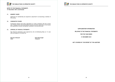

## **NOTES TO THE FINANCIAL STATEMENTS**

**31 December 2021** *(Continued)*

# **FOOD** THE DUBLIN FOOD CO-OPERATIVE SOCIETY

#### **21. MEMBERS' SHARES**

 Applicants for membership are required to subscribe €1 on becoming a member of the society.

#### **22. COMPARATIVE FIGURES**

 Comparative figures have been regrouped on a basis consistent with the current year. Trading income and miscellaneous income are shown separately in the income and expenditure account having been combined in the previous year.

#### **23. APPROVAL OF FINANCIAL STATEMENTS**

 The financial statements were approved by the Co-Ordinating Body on 13 June 2022 and signed on its behalf by:

 *Maureen O'Donnell Paolo Bostrenghi* 

 *Chair Treasurer* 

**SUPPLEMENTARY INFORMATION** 

**RELATING TO THE FINANCIAL STATEMENTS** 

**FOR THE YEAR ENDED** 

**31 DECEMBER 2021** 

*NOT COVERED BY THE REPORT OF THE AUDITORS*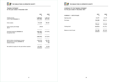

### **TRADING STATEMENT**

**for the year ended 31 December 2021** 

|                                                                                             | 2021<br>€               | 2020<br>€                  |
|---------------------------------------------------------------------------------------------|-------------------------|----------------------------|
| Trading income<br>Cost of sales (Schedule 1)                                                | 1,068,014<br>(753, 789) | 1,287,610<br>(897, 929)    |
| Gross surplus                                                                               | 314,225                 | 389,681                    |
| Gross surplus percentage<br>30.2%                                                           | 29.4%                   |                            |
| Overhead expenses (Schedule 2)<br>Exceptional item                                          | (438, 787)<br>(10, 155) | (417, 874)                 |
|                                                                                             | (448,942)               | (417, 874)                 |
| Deficit before miscellaneous income<br>Miscellaneous income (Schedule 3)<br>Interest income | (134, 717)<br>83,210    | (28, 193)<br>66,352<br>199 |
| Net (deficit)/surplus for the year before taxation                                          | (51, 507)               | 38,358                     |



#### **SCHEDULES TO THE TRADING STATEMENT for the year ended 31 December 2021**

| <b>SCHEDULE 1 - COST OF SALES</b> | 2021<br>€ | 2020<br>€ |
|-----------------------------------|-----------|-----------|
| Opening stock                     | 41,571    | 34,379    |
| Purchases                         | 749,090   | 905,121   |
|                                   |           |           |
|                                   | 790,661   | 939,500   |
| Closing stock                     | (36, 872) | (41, 571) |
|                                   |           |           |
| Balance at end of year            | 753,789   | 897,929   |
|                                   |           |           |